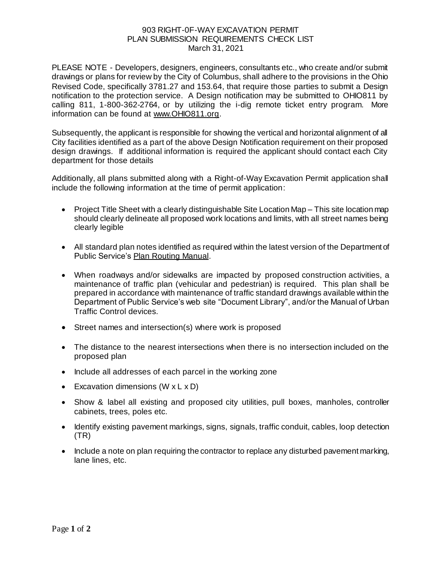## 903 RIGHT-0F-WAY EXCAVATION PERMIT PLAN SUBMISSION REQUIREMENTS CHECK LIST March 31, 2021

PLEASE NOTE - Developers, designers, engineers, consultants etc., who create and/or submit drawings or plans for review by the City of Columbus, shall adhere to the provisions in the Ohio Revised Code, specifically 3781.27 and 153.64, that require those parties to submit a Design notification to the protection service. A Design notification may be submitted to OHIO811 by calling 811, 1-800-362-2764, or by utilizing the i-dig remote ticket entry program. More information can be found [at www.OHIO811.org](https://urldefense.com/v3/__http:/www.OHIO811.org__;!!J-4R7rTSYA!P_8rGLr_AIbjxfI4V6BXsRDjJzH0GsSTjP-L1iiaKl8eu4zzs_85BXDdH1TB_nYX6FmHFg$).

Subsequently, the applicant is responsible for showing the vertical and horizontal alignment of all City facilities identified as a part of the above Design Notification requirement on their proposed design drawings. If additional information is required the applicant should contact each City department for those details

Additionally, all plans submitted along with a Right-of-Way Excavation Permit application shall include the following information at the time of permit application:

- Project Title Sheet with a clearly distinguishable Site Location Map This site location map should clearly delineate all proposed work locations and limits, with all street names being clearly legible
- All standard plan notes identified as required within the latest version of the Department of Public Service's Plan Routing Manual.
- When roadways and/or sidewalks are impacted by proposed construction activities, a maintenance of traffic plan (vehicular and pedestrian) is required. This plan shall be prepared in accordance with maintenance of traffic standard drawings available within the Department of Public Service's web site "Document Library", and/or the Manual of Urban Traffic Control devices.
- Street names and intersection(s) where work is proposed
- The distance to the nearest intersections when there is no intersection included on the proposed plan
- Include all addresses of each parcel in the working zone
- Excavation dimensions  $(W \times L \times D)$
- Show & label all existing and proposed city utilities, pull boxes, manholes, controller cabinets, trees, poles etc.
- Identify existing pavement markings, signs, signals, traffic conduit, cables, loop detection (TR)
- Include a note on plan requiring the contractor to replace any disturbed pavement marking, lane lines, etc.